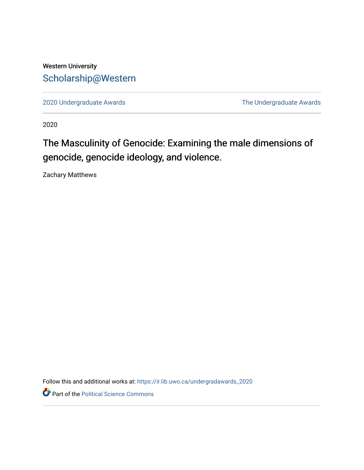# Western University [Scholarship@Western](https://ir.lib.uwo.ca/)

[2020 Undergraduate Awards](https://ir.lib.uwo.ca/undergradawards_2020) [The Undergraduate Awards](https://ir.lib.uwo.ca/ungradawards) 

2020

# The Masculinity of Genocide: Examining the male dimensions of genocide, genocide ideology, and violence.

Zachary Matthews

Follow this and additional works at: [https://ir.lib.uwo.ca/undergradawards\\_2020](https://ir.lib.uwo.ca/undergradawards_2020?utm_source=ir.lib.uwo.ca%2Fundergradawards_2020%2F5&utm_medium=PDF&utm_campaign=PDFCoverPages) 

Part of the [Political Science Commons](http://network.bepress.com/hgg/discipline/386?utm_source=ir.lib.uwo.ca%2Fundergradawards_2020%2F5&utm_medium=PDF&utm_campaign=PDFCoverPages)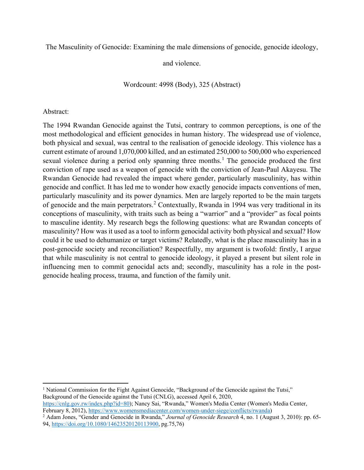The Masculinity of Genocide: Examining the male dimensions of genocide, genocide ideology,

and violence.

Wordcount: 4998 (Body), 325 (Abstract)

### Abstract:

 $\overline{a}$ 

The 1994 Rwandan Genocide against the Tutsi, contrary to common perceptions, is one of the most methodological and efficient genocides in human history. The widespread use of violence, both physical and sexual, was central to the realisation of genocide ideology. This violence has a current estimate of around 1,070,000 killed, and an estimated 250,000 to 500,000 who experienced sexual violence during a period only spanning three months.<sup>[1](#page-1-0)</sup> The genocide produced the first conviction of rape used as a weapon of genocide with the conviction of Jean-Paul Akayesu. The Rwandan Genocide had revealed the impact where gender, particularly masculinity, has within genocide and conflict. It has led me to wonder how exactly genocide impacts conventions of men, particularly masculinity and its power dynamics. Men are largely reported to be the main targets of genocide and the main perpetrators.<sup>[2](#page-1-1)</sup> Contextually, Rwanda in 1994 was very traditional in its conceptions of masculinity, with traits such as being a "warrior" and a "provider" as focal points to masculine identity. My research begs the following questions: what are Rwandan concepts of masculinity? How was it used as a tool to inform genocidal activity both physical and sexual? How could it be used to dehumanize or target victims? Relatedly, what is the place masculinity has in a post-genocide society and reconciliation? Respectfully, my argument is twofold: firstly, I argue that while masculinity is not central to genocide ideology, it played a present but silent role in influencing men to commit genocidal acts and; secondly, masculinity has a role in the postgenocide healing process, trauma, and function of the family unit.

<span id="page-1-0"></span><sup>1</sup> National Commission for the Fight Against Genocide, "Background of the Genocide against the Tutsi," Background of the Genocide against the Tutsi (CNLG), accessed April 6, 2020, [https://cnlg.gov.rw/index.php?id=80\)](https://cnlg.gov.rw/index.php?id=80); Nancy Sai, "Rwanda," Women's Media Center (Women's Media Center, February 8, 2012), https://www.womensmediacenter.com/women-under-siege/conflicts/rwanda)

<span id="page-1-1"></span><sup>2</sup> Adam Jones, "Gender and Genocide in Rwanda," *Journal of Genocide Research* 4, no. 1 (August 3, 2010): pp. 65-94, [https://doi.org/10.1080/14623520120113900,](https://doi.org/10.1080/14623520120113900) pg.75,76)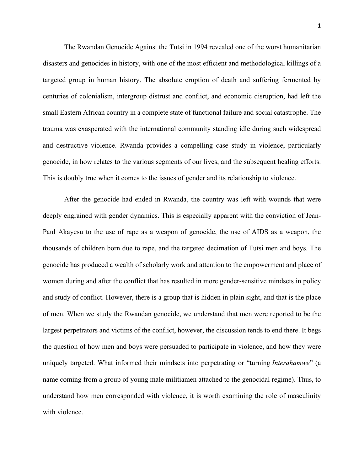The Rwandan Genocide Against the Tutsi in 1994 revealed one of the worst humanitarian disasters and genocides in history, with one of the most efficient and methodological killings of a targeted group in human history. The absolute eruption of death and suffering fermented by centuries of colonialism, intergroup distrust and conflict, and economic disruption, had left the small Eastern African country in a complete state of functional failure and social catastrophe. The trauma was exasperated with the international community standing idle during such widespread and destructive violence. Rwanda provides a compelling case study in violence, particularly genocide, in how relates to the various segments of our lives, and the subsequent healing efforts. This is doubly true when it comes to the issues of gender and its relationship to violence.

After the genocide had ended in Rwanda, the country was left with wounds that were deeply engrained with gender dynamics. This is especially apparent with the conviction of Jean-Paul Akayesu to the use of rape as a weapon of genocide, the use of AIDS as a weapon, the thousands of children born due to rape, and the targeted decimation of Tutsi men and boys. The genocide has produced a wealth of scholarly work and attention to the empowerment and place of women during and after the conflict that has resulted in more gender-sensitive mindsets in policy and study of conflict. However, there is a group that is hidden in plain sight, and that is the place of men. When we study the Rwandan genocide, we understand that men were reported to be the largest perpetrators and victims of the conflict, however, the discussion tends to end there. It begs the question of how men and boys were persuaded to participate in violence, and how they were uniquely targeted. What informed their mindsets into perpetrating or "turning *Interahamwe*" (a name coming from a group of young male militiamen attached to the genocidal regime). Thus, to understand how men corresponded with violence, it is worth examining the role of masculinity with violence.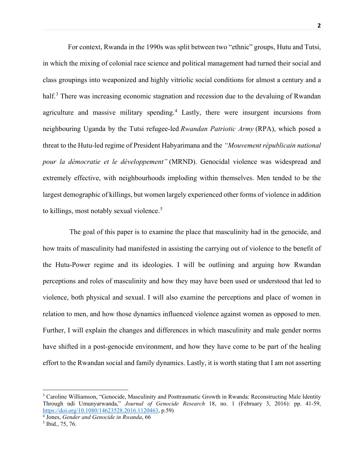For context, Rwanda in the 1990s was split between two "ethnic" groups, Hutu and Tutsi, in which the mixing of colonial race science and political management had turned their social and class groupings into weaponized and highly vitriolic social conditions for almost a century and a half.<sup>[3](#page-3-0)</sup> There was increasing economic stagnation and recession due to the devaluing of Rwandan agriculture and massive military spending. [4](#page-3-1) Lastly, there were insurgent incursions from neighbouring Uganda by the Tutsi refugee-led *Rwandan Patriotic Army* (RPA), which posed a threat to the Hutu-led regime of President Habyarimana and the *"Mouvement républicain national pour la démocratie et le développement"* (MRND). Genocidal violence was widespread and extremely effective, with neighbourhoods imploding within themselves. Men tended to be the largest demographic of killings, but women largely experienced other forms of violence in addition to killings, most notably sexual violence.<sup>[5](#page-3-2)</sup>

 The goal of this paper is to examine the place that masculinity had in the genocide, and how traits of masculinity had manifested in assisting the carrying out of violence to the benefit of the Hutu-Power regime and its ideologies. I will be outlining and arguing how Rwandan perceptions and roles of masculinity and how they may have been used or understood that led to violence, both physical and sexual. I will also examine the perceptions and place of women in relation to men, and how those dynamics influenced violence against women as opposed to men. Further, I will explain the changes and differences in which masculinity and male gender norms have shifted in a post-genocide environment, and how they have come to be part of the healing effort to the Rwandan social and family dynamics. Lastly, it is worth stating that I am not asserting

<span id="page-3-0"></span><sup>&</sup>lt;sup>3</sup> Caroline Williamson, "Genocide, Masculinity and Posttraumatic Growth in Rwanda: Reconstructing Male Identity Through ndi Umunyarwanda," *Journal of Genocide Research* 18, no. 1 (February 3, 2016): pp. 41-59,

<span id="page-3-1"></span><sup>&</sup>lt;sup>4</sup> Jones, Gender and Genocide in Rwanda, 66

<span id="page-3-2"></span><sup>5</sup> Ibid., 75, 76.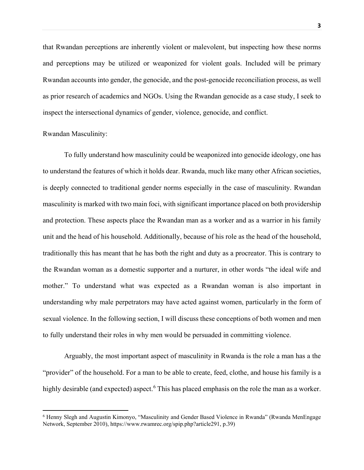that Rwandan perceptions are inherently violent or malevolent, but inspecting how these norms and perceptions may be utilized or weaponized for violent goals. Included will be primary Rwandan accounts into gender, the genocide, and the post-genocide reconciliation process, as well as prior research of academics and NGOs. Using the Rwandan genocide as a case study, I seek to inspect the intersectional dynamics of gender, violence, genocide, and conflict.

#### Rwandan Masculinity:

 $\overline{\phantom{a}}$ 

To fully understand how masculinity could be weaponized into genocide ideology, one has to understand the features of which it holds dear. Rwanda, much like many other African societies, is deeply connected to traditional gender norms especially in the case of masculinity. Rwandan masculinity is marked with two main foci, with significant importance placed on both providership and protection. These aspects place the Rwandan man as a worker and as a warrior in his family unit and the head of his household. Additionally, because of his role as the head of the household, traditionally this has meant that he has both the right and duty as a procreator. This is contrary to the Rwandan woman as a domestic supporter and a nurturer, in other words "the ideal wife and mother." To understand what was expected as a Rwandan woman is also important in understanding why male perpetrators may have acted against women, particularly in the form of sexual violence. In the following section, I will discuss these conceptions of both women and men to fully understand their roles in why men would be persuaded in committing violence.

Arguably, the most important aspect of masculinity in Rwanda is the role a man has a the "provider" of the household. For a man to be able to create, feed, clothe, and house his family is a highly desirable (and expected) aspect.<sup>[6](#page-4-0)</sup> This has placed emphasis on the role the man as a worker.

<span id="page-4-0"></span><sup>6</sup> Henny Slegh and Augustin Kimonyo, "Masculinity and Gender Based Violence in Rwanda" (Rwanda MenEngage Network, September 2010), https://www.rwamrec.org/spip.php?article291, p.39)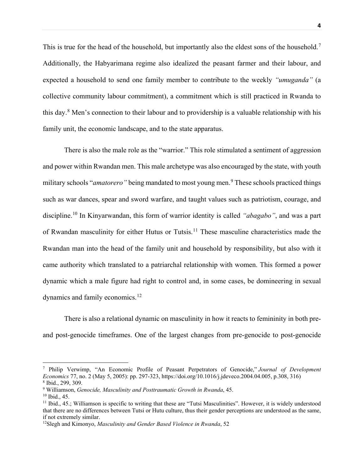This is true for the head of the household, but importantly also the eldest sons of the household.<sup>[7](#page-5-0)</sup> Additionally, the Habyarimana regime also idealized the peasant farmer and their labour, and expected a household to send one family member to contribute to the weekly *"umuganda"* (a collective community labour commitment), a commitment which is still practiced in Rwanda to this day.<sup>[8](#page-5-1)</sup> Men's connection to their labour and to providership is a valuable relationship with his family unit, the economic landscape, and to the state apparatus.

There is also the male role as the "warrior." This role stimulated a sentiment of aggression and power within Rwandan men. This male archetype was also encouraged by the state, with youth military schools "*amatorero*" being mandated to most young men.<sup>[9](#page-5-2)</sup> These schools practiced things such as war dances, spear and sword warfare, and taught values such as patriotism, courage, and discipline.[10](#page-5-3) In Kinyarwandan, this form of warrior identity is called *"abagabo"*, and was a part of Rwandan masculinity for either Hutus or Tutsis.<sup>[11](#page-5-4)</sup> These masculine characteristics made the Rwandan man into the head of the family unit and household by responsibility, but also with it came authority which translated to a patriarchal relationship with women. This formed a power dynamic which a male figure had right to control and, in some cases, be domineering in sexual dynamics and family economics.[12](#page-5-5)

There is also a relational dynamic on masculinity in how it reacts to femininity in both preand post-genocide timeframes. One of the largest changes from pre-genocide to post-genocide

<span id="page-5-0"></span><sup>7</sup> Philip Verwimp, "An Economic Profile of Peasant Perpetrators of Genocide," *Journal of Development Economics* 77, no. 2 (May 5, 2005): pp. 297-323, https://doi.org/10.1016/j.jdeveco.2004.04.005, p.308, 316) <sup>8</sup> Ibid., 299, 309.

<span id="page-5-2"></span><span id="page-5-1"></span><sup>9</sup> Williamson, *Genocide, Masculinity and Posttraumatic Growth in Rwanda*, 45.

<span id="page-5-3"></span> $10$  Ibid., 45.

<span id="page-5-4"></span><sup>&</sup>lt;sup>11</sup> Ibid., 45.; Williamson is specific to writing that these are "Tutsi Masculinities". However, it is widely understood that there are no differences between Tutsi or Hutu culture, thus their gender perceptions are understood as the same, if not extremely similar.

<span id="page-5-5"></span><sup>12</sup>Slegh and Kimonyo, *Masculinity and Gender Based Violence in Rwanda*, 52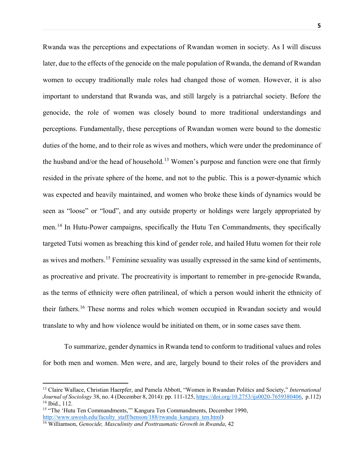Rwanda was the perceptions and expectations of Rwandan women in society. As I will discuss later, due to the effects of the genocide on the male population of Rwanda, the demand of Rwandan women to occupy traditionally male roles had changed those of women. However, it is also important to understand that Rwanda was, and still largely is a patriarchal society. Before the genocide, the role of women was closely bound to more traditional understandings and perceptions. Fundamentally, these perceptions of Rwandan women were bound to the domestic duties of the home, and to their role as wives and mothers, which were under the predominance of the husband and/or the head of household.<sup>[13](#page-6-0)</sup> Women's purpose and function were one that firmly resided in the private sphere of the home, and not to the public. This is a power-dynamic which was expected and heavily maintained, and women who broke these kinds of dynamics would be seen as "loose" or "loud", and any outside property or holdings were largely appropriated by men.[14](#page-6-1) In Hutu-Power campaigns, specifically the Hutu Ten Commandments, they specifically targeted Tutsi women as breaching this kind of gender role, and hailed Hutu women for their role as wives and mothers.<sup>[15](#page-6-2)</sup> Feminine sexuality was usually expressed in the same kind of sentiments, as procreative and private. The procreativity is important to remember in pre-genocide Rwanda, as the terms of ethnicity were often patrilineal, of which a person would inherit the ethnicity of their fathers.[16](#page-6-3) These norms and roles which women occupied in Rwandan society and would translate to why and how violence would be initiated on them, or in some cases save them.

To summarize, gender dynamics in Rwanda tend to conform to traditional values and roles for both men and women. Men were, and are, largely bound to their roles of the providers and

<span id="page-6-0"></span><sup>13</sup> Claire Wallace, Christian Haerpfer, and Pamela Abbott, "Women in Rwandan Politics and Society," *International Journal of Sociology* 38, no. 4 (December 8, 2014): pp. 111-125[, https://doi.org/10.2753/ijs0020-7659380406,](https://doi.org/10.2753/ijs0020-7659380406) p.112) <sup>14</sup> Ibid., 112.

<span id="page-6-2"></span><span id="page-6-1"></span><sup>&</sup>lt;sup>15</sup> "The 'Hutu Ten Commandments,'" Kangura Ten Commandments, December 1990, [http://www.uwosh.edu/faculty\\_staff/henson/188/rwanda\\_kangura\\_ten.html\)](http://www.uwosh.edu/faculty_staff/henson/188/rwanda_kangura_ten.html)

<span id="page-6-3"></span><sup>16</sup> Williamson, *Genocide, Masculinity and Posttraumatic Growth in Rwanda*, 42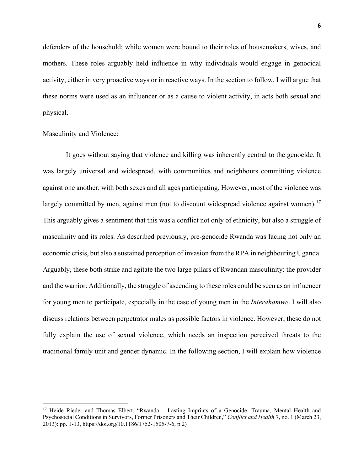defenders of the household; while women were bound to their roles of housemakers, wives, and mothers. These roles arguably held influence in why individuals would engage in genocidal activity, either in very proactive ways or in reactive ways. In the section to follow, I will argue that these norms were used as an influencer or as a cause to violent activity, in acts both sexual and physical.

#### Masculinity and Violence:

 $\overline{a}$ 

It goes without saying that violence and killing was inherently central to the genocide. It was largely universal and widespread, with communities and neighbours committing violence against one another, with both sexes and all ages participating. However, most of the violence was largely committed by men, against men (not to discount widespread violence against women).<sup>[17](#page-7-0)</sup> This arguably gives a sentiment that this was a conflict not only of ethnicity, but also a struggle of masculinity and its roles. As described previously, pre-genocide Rwanda was facing not only an economic crisis, but also a sustained perception of invasion from the RPA in neighbouring Uganda. Arguably, these both strike and agitate the two large pillars of Rwandan masculinity: the provider and the warrior. Additionally, the struggle of ascending to these roles could be seen as an influencer for young men to participate, especially in the case of young men in the *Interahamwe*. I will also discuss relations between perpetrator males as possible factors in violence. However, these do not fully explain the use of sexual violence, which needs an inspection perceived threats to the traditional family unit and gender dynamic. In the following section, I will explain how violence

<span id="page-7-0"></span><sup>&</sup>lt;sup>17</sup> Heide Rieder and Thomas Elbert, "Rwanda – Lasting Imprints of a Genocide: Trauma, Mental Health and Psychosocial Conditions in Survivors, Former Prisoners and Their Children," *Conflict and Health* 7, no. 1 (March 23, 2013): pp. 1-13, https://doi.org/10.1186/1752-1505-7-6, p.2)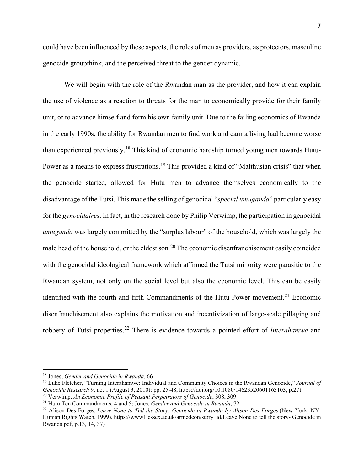could have been influenced by these aspects, the roles of men as providers, as protectors, masculine genocide groupthink, and the perceived threat to the gender dynamic.

We will begin with the role of the Rwandan man as the provider, and how it can explain the use of violence as a reaction to threats for the man to economically provide for their family unit, or to advance himself and form his own family unit. Due to the failing economics of Rwanda in the early 1990s, the ability for Rwandan men to find work and earn a living had become worse than experienced previously.[18](#page-8-0) This kind of economic hardship turned young men towards Hutu-Power as a means to express frustrations.<sup>[19](#page-8-1)</sup> This provided a kind of "Malthusian crisis" that when the genocide started, allowed for Hutu men to advance themselves economically to the disadvantage of the Tutsi. This made the selling of genocidal "*special umuganda*" particularly easy for the *genocidaires*. In fact, in the research done by Philip Verwimp, the participation in genocidal *umuganda* was largely committed by the "surplus labour" of the household, which was largely the male head of the household, or the eldest son.<sup>[20](#page-8-2)</sup> The economic disenfranchisement easily coincided with the genocidal ideological framework which affirmed the Tutsi minority were parasitic to the Rwandan system, not only on the social level but also the economic level. This can be easily identified with the fourth and fifth Commandments of the Hutu-Power movement.<sup>[21](#page-8-3)</sup> Economic disenfranchisement also explains the motivation and incentivization of large-scale pillaging and robbery of Tutsi properties.[22](#page-8-4) There is evidence towards a pointed effort of *Interahamwe* and

<span id="page-8-0"></span><sup>18</sup> Jones, *Gender and Genocide in Rwanda*, 66

<span id="page-8-1"></span><sup>19</sup> Luke Fletcher, "Turning Interahamwe: Individual and Community Choices in the Rwandan Genocide," *Journal of Genocide Research* 9, no. 1 (August 3, 2010): pp. 25-48, https://doi.org/10.1080/14623520601163103, p.27) <sup>20</sup> Verwimp, *An Economic Profile of Peasant Perpetrators of Genocide*, 308, 309

<span id="page-8-3"></span><span id="page-8-2"></span><sup>21</sup> Hutu Ten Commandments, 4 and 5; Jones, *Gender and Genocide in Rwanda*, 72

<span id="page-8-4"></span><sup>22</sup> Alison Des Forges, *Leave None to Tell the Story: Genocide in Rwanda by Alison Des Forges* (New York, NY: Human Rights Watch, 1999), https://www1.essex.ac.uk/armedcon/story\_id/Leave None to tell the story- Genocide in Rwanda.pdf, p.13, 14, 37)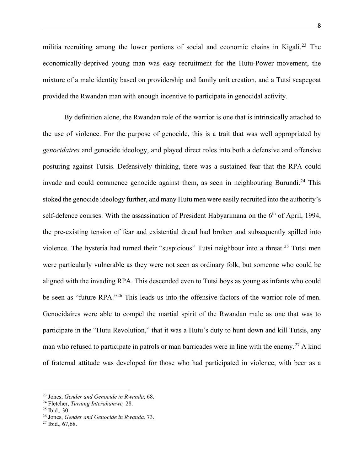militia recruiting among the lower portions of social and economic chains in Kigali.[23](#page-9-0) The economically-deprived young man was easy recruitment for the Hutu-Power movement, the mixture of a male identity based on providership and family unit creation, and a Tutsi scapegoat provided the Rwandan man with enough incentive to participate in genocidal activity.

By definition alone, the Rwandan role of the warrior is one that is intrinsically attached to the use of violence. For the purpose of genocide, this is a trait that was well appropriated by *genocidaires* and genocide ideology, and played direct roles into both a defensive and offensive posturing against Tutsis. Defensively thinking, there was a sustained fear that the RPA could invade and could commence genocide against them, as seen in neighbouring Burundi.<sup>[24](#page-9-1)</sup> This stoked the genocide ideology further, and many Hutu men were easily recruited into the authority's self-defence courses. With the assassination of President Habyarimana on the 6<sup>th</sup> of April, 1994, the pre-existing tension of fear and existential dread had broken and subsequently spilled into violence. The hysteria had turned their "suspicious" Tutsi neighbour into a threat.<sup>[25](#page-9-2)</sup> Tutsi men were particularly vulnerable as they were not seen as ordinary folk, but someone who could be aligned with the invading RPA. This descended even to Tutsi boys as young as infants who could be seen as "future RPA."<sup>[26](#page-9-3)</sup> This leads us into the offensive factors of the warrior role of men. Genocidaires were able to compel the martial spirit of the Rwandan male as one that was to participate in the "Hutu Revolution," that it was a Hutu's duty to hunt down and kill Tutsis, any man who refused to participate in patrols or man barricades were in line with the enemy.<sup>[27](#page-9-4)</sup> A kind of fraternal attitude was developed for those who had participated in violence, with beer as a

<span id="page-9-0"></span><sup>23</sup> Jones, *Gender and Genocide in Rwanda,* 68.

<span id="page-9-1"></span><sup>24</sup> Fletcher, *Turning Interahamwe,* 28.

<span id="page-9-2"></span><sup>25</sup> Ibid.*,* 30.

<span id="page-9-3"></span><sup>26</sup> Jones, *Gender and Genocide in Rwanda,* 73.

<span id="page-9-4"></span><sup>27</sup> Ibid., 67,68.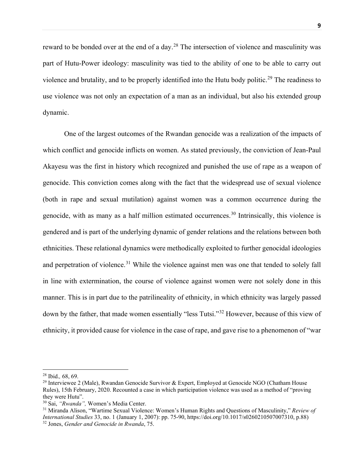reward to be bonded over at the end of a day.<sup>[28](#page-10-0)</sup> The intersection of violence and masculinity was part of Hutu-Power ideology: masculinity was tied to the ability of one to be able to carry out violence and brutality, and to be properly identified into the Hutu body politic.<sup>[29](#page-10-1)</sup> The readiness to use violence was not only an expectation of a man as an individual, but also his extended group dynamic.

One of the largest outcomes of the Rwandan genocide was a realization of the impacts of which conflict and genocide inflicts on women. As stated previously, the conviction of Jean-Paul Akayesu was the first in history which recognized and punished the use of rape as a weapon of genocide. This conviction comes along with the fact that the widespread use of sexual violence (both in rape and sexual mutilation) against women was a common occurrence during the genocide, with as many as a half million estimated occurrences.<sup>[30](#page-10-2)</sup> Intrinsically, this violence is gendered and is part of the underlying dynamic of gender relations and the relations between both ethnicities. These relational dynamics were methodically exploited to further genocidal ideologies and perpetration of violence.<sup>[31](#page-10-3)</sup> While the violence against men was one that tended to solely fall in line with extermination, the course of violence against women were not solely done in this manner. This is in part due to the patrilineality of ethnicity, in which ethnicity was largely passed down by the father, that made women essentially "less Tutsi."[32](#page-10-4) However, because of this view of ethnicity, it provided cause for violence in the case of rape, and gave rise to a phenomenon of "war

<span id="page-10-0"></span><sup>28</sup> Ibid.*,* 68, 69.

<span id="page-10-1"></span><sup>&</sup>lt;sup>29</sup> Interviewee 2 (Male), Rwandan Genocide Survivor & Expert, Employed at Genocide NGO (Chatham House Rules), 15th February, 2020. Recounted a case in which participation violence was used as a method of "proving they were Hutu".

<span id="page-10-2"></span><sup>30</sup> Sai, *"Rwanda",* Women's Media Center.

<span id="page-10-4"></span><span id="page-10-3"></span><sup>31</sup> Miranda Alison, "Wartime Sexual Violence: Women's Human Rights and Questions of Masculinity," *Review of International Studies* 33, no. 1 (January 1, 2007): pp. 75-90, https://doi.org/10.1017/s0260210507007310, p.88) <sup>32</sup> Jones, *Gender and Genocide in Rwanda*, 75.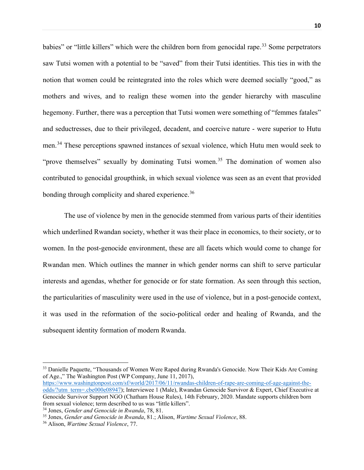babies" or "little killers" which were the children born from genocidal rape.<sup>[33](#page-11-0)</sup> Some perpetrators saw Tutsi women with a potential to be "saved" from their Tutsi identities. This ties in with the notion that women could be reintegrated into the roles which were deemed socially "good," as mothers and wives, and to realign these women into the gender hierarchy with masculine hegemony. Further, there was a perception that Tutsi women were something of "femmes fatales" and seductresses, due to their privileged, decadent, and coercive nature - were superior to Hutu men.[34](#page-11-1) These perceptions spawned instances of sexual violence, which Hutu men would seek to "prove themselves" sexually by dominating Tutsi women.<sup>[35](#page-11-2)</sup> The domination of women also contributed to genocidal groupthink, in which sexual violence was seen as an event that provided bonding through complicity and shared experience.<sup>[36](#page-11-3)</sup>

The use of violence by men in the genocide stemmed from various parts of their identities which underlined Rwandan society, whether it was their place in economics, to their society, or to women. In the post-genocide environment, these are all facets which would come to change for Rwandan men. Which outlines the manner in which gender norms can shift to serve particular interests and agendas, whether for genocide or for state formation. As seen through this section, the particularities of masculinity were used in the use of violence, but in a post-genocide context, it was used in the reformation of the socio-political order and healing of Rwanda, and the subsequent identity formation of modern Rwanda.

[https://www.washingtonpost.com/sf/world/2017/06/11/rwandas-children-of-rape-are-coming-of-age-against-the](https://www.washingtonpost.com/sf/world/2017/06/11/rwandas-children-of-rape-are-coming-of-age-against-the-odds/?utm_term=.cbe000e08947)[odds/?utm\\_term=.cbe000e08947\)](https://www.washingtonpost.com/sf/world/2017/06/11/rwandas-children-of-rape-are-coming-of-age-against-the-odds/?utm_term=.cbe000e08947); Interviewee 1 (Male), Rwandan Genocide Survivor & Expert, Chief Executive at Genocide Survivor Support NGO (Chatham House Rules), 14th February, 2020. Mandate supports children born from sexual violence; term described to us was "little killers".<br><sup>34</sup> Jones, *Gender and Genocide in Rwanda*, 78, 81.

<span id="page-11-0"></span><sup>&</sup>lt;sup>33</sup> Danielle Paquette, "Thousands of Women Were Raped during Rwanda's Genocide. Now Their Kids Are Coming of Age.," The Washington Post (WP Company, June 11, 2017),

<span id="page-11-1"></span>

<span id="page-11-2"></span><sup>&</sup>lt;sup>35</sup> Jones, *Gender and Genocide in Rwanda*, 81.; Alison, *Wartime Sexual Violence*, 88.

<span id="page-11-3"></span><sup>36</sup> Alison, *Wartime Sexual Violence*, 77.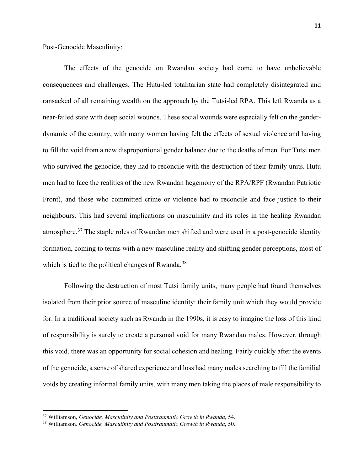Post-Genocide Masculinity:

The effects of the genocide on Rwandan society had come to have unbelievable consequences and challenges. The Hutu-led totalitarian state had completely disintegrated and ransacked of all remaining wealth on the approach by the Tutsi-led RPA. This left Rwanda as a near-failed state with deep social wounds. These social wounds were especially felt on the genderdynamic of the country, with many women having felt the effects of sexual violence and having to fill the void from a new disproportional gender balance due to the deaths of men. For Tutsi men who survived the genocide, they had to reconcile with the destruction of their family units. Hutu men had to face the realities of the new Rwandan hegemony of the RPA/RPF (Rwandan Patriotic Front), and those who committed crime or violence had to reconcile and face justice to their neighbours. This had several implications on masculinity and its roles in the healing Rwandan atmosphere.[37](#page-12-0) The staple roles of Rwandan men shifted and were used in a post-genocide identity formation, coming to terms with a new masculine reality and shifting gender perceptions, most of which is tied to the political changes of Rwanda.<sup>[38](#page-12-1)</sup>

 Following the destruction of most Tutsi family units, many people had found themselves isolated from their prior source of masculine identity: their family unit which they would provide for. In a traditional society such as Rwanda in the 1990s, it is easy to imagine the loss of this kind of responsibility is surely to create a personal void for many Rwandan males. However, through this void, there was an opportunity for social cohesion and healing. Fairly quickly after the events of the genocide, a sense of shared experience and loss had many males searching to fill the familial voids by creating informal family units, with many men taking the places of male responsibility to

<span id="page-12-0"></span><sup>37</sup> Williamson, *Genocide, Masculinity and Posttraumatic Growth in Rwanda,* 54.

<span id="page-12-1"></span><sup>38</sup> Williamson*, Genocide, Masculinity and Posttraumatic Growth in Rwanda*, 50.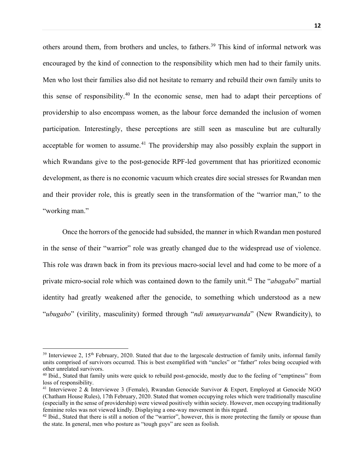others around them, from brothers and uncles, to fathers.<sup>[39](#page-13-0)</sup> This kind of informal network was encouraged by the kind of connection to the responsibility which men had to their family units. Men who lost their families also did not hesitate to remarry and rebuild their own family units to this sense of responsibility.[40](#page-13-1) In the economic sense, men had to adapt their perceptions of providership to also encompass women, as the labour force demanded the inclusion of women participation. Interestingly, these perceptions are still seen as masculine but are culturally acceptable for women to assume.<sup>[41](#page-13-2)</sup> The providership may also possibly explain the support in which Rwandans give to the post-genocide RPF-led government that has prioritized economic development, as there is no economic vacuum which creates dire social stresses for Rwandan men and their provider role, this is greatly seen in the transformation of the "warrior man," to the "working man."

 Once the horrors of the genocide had subsided, the manner in which Rwandan men postured in the sense of their "warrior" role was greatly changed due to the widespread use of violence. This role was drawn back in from its previous macro-social level and had come to be more of a private micro-social role which was contained down to the family unit.[42](#page-13-3) The "*abagabo*" martial identity had greatly weakened after the genocide, to something which understood as a new "*ubugabo*" (virility, masculinity) formed through "*ndi umunyarwanda*" (New Rwandicity), to

<span id="page-13-0"></span> $39$  Interviewee 2, 15<sup>th</sup> February, 2020. Stated that due to the largescale destruction of family units, informal family units comprised of survivors occurred. This is best exemplified with "uncles" or "father" roles being occupied with other unrelated survivors.

<span id="page-13-1"></span><sup>&</sup>lt;sup>40</sup> Ibid., Stated that family units were quick to rebuild post-genocide, mostly due to the feeling of "emptiness" from loss of responsibility.

<span id="page-13-2"></span><sup>41</sup> Interviewee 2 & Interviewee 3 (Female), Rwandan Genocide Survivor & Expert, Employed at Genocide NGO (Chatham House Rules), 17th February, 2020. Stated that women occupying roles which were traditionally masculine (especially in the sense of providership) were viewed positively within society. However, men occupying traditionally feminine roles was not viewed kindly. Displaying a one-way movement in this regard.

<span id="page-13-3"></span><sup>&</sup>lt;sup>42</sup> Ibid., Stated that there is still a notion of the "warrior", however, this is more protecting the family or spouse than the state. In general, men who posture as "tough guys" are seen as foolish.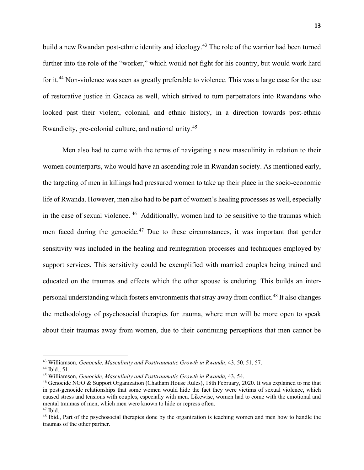build a new Rwandan post-ethnic identity and ideology.<sup>[43](#page-14-0)</sup> The role of the warrior had been turned further into the role of the "worker," which would not fight for his country, but would work hard for it.<sup>[44](#page-14-1)</sup> Non-violence was seen as greatly preferable to violence. This was a large case for the use of restorative justice in Gacaca as well, which strived to turn perpetrators into Rwandans who looked past their violent, colonial, and ethnic history, in a direction towards post-ethnic Rwandicity, pre-colonial culture, and national unity.[45](#page-14-2) 

 Men also had to come with the terms of navigating a new masculinity in relation to their women counterparts, who would have an ascending role in Rwandan society. As mentioned early, the targeting of men in killings had pressured women to take up their place in the socio-economic life of Rwanda. However, men also had to be part of women's healing processes as well, especially in the case of sexual violence. [46](#page-14-3) Additionally, women had to be sensitive to the traumas which men faced during the genocide.<sup>[47](#page-14-4)</sup> Due to these circumstances, it was important that gender sensitivity was included in the healing and reintegration processes and techniques employed by support services. This sensitivity could be exemplified with married couples being trained and educated on the traumas and effects which the other spouse is enduring. This builds an inter-personal understanding which fosters environments that stray away from conflict.<sup>[48](#page-14-5)</sup> It also changes the methodology of psychosocial therapies for trauma, where men will be more open to speak about their traumas away from women, due to their continuing perceptions that men cannot be

l

<span id="page-14-0"></span><sup>43</sup> Williamson, *Genocide, Masculinity and Posttraumatic Growth in Rwanda*, 43, 50, 51, 57.

<span id="page-14-1"></span><sup>44</sup> Ibid., 51.

<span id="page-14-2"></span><sup>45</sup> Williamson, *Genocide, Masculinity and Posttraumatic Growth in Rwanda,* 43, 54.

<span id="page-14-3"></span><sup>46</sup> Genocide NGO & Support Organization (Chatham House Rules), 18th February, 2020. It was explained to me that in post-genocide relationships that some women would hide the fact they were victims of sexual violence, which caused stress and tensions with couples, especially with men. Likewise, women had to come with the emotional and mental traumas of men, which men were known to hide or repress often.  $47$  Ibid.

<span id="page-14-5"></span><span id="page-14-4"></span><sup>&</sup>lt;sup>48</sup> Ibid., Part of the psychosocial therapies done by the organization is teaching women and men how to handle the traumas of the other partner.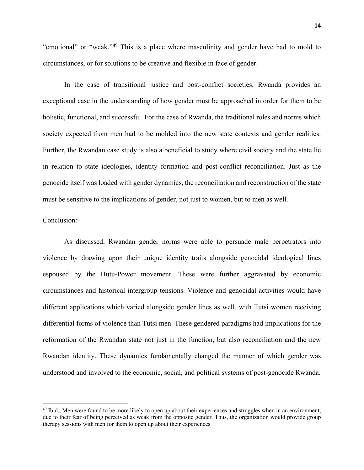"emotional" or "weak."[49](#page-15-0) This is a place where masculinity and gender have had to mold to circumstances, or for solutions to be creative and flexible in face of gender.

In the case of transitional justice and post-conflict societies, Rwanda provides an exceptional case in the understanding of how gender must be approached in order for them to be holistic, functional, and successful. For the case of Rwanda, the traditional roles and norms which society expected from men had to be molded into the new state contexts and gender realities. Further, the Rwandan case study is also a beneficial to study where civil society and the state lie in relation to state ideologies, identity formation and post-conflict reconciliation. Just as the genocide itself was loaded with gender dynamics, the reconciliation and reconstruction of the state must be sensitive to the implications of gender, not just to women, but to men as well.

## Conclusion:

 $\overline{a}$ 

As discussed, Rwandan gender norms were able to persuade male perpetrators into violence by drawing upon their unique identity traits alongside genocidal ideological lines espoused by the Hutu-Power movement. These were further aggravated by economic circumstances and historical intergroup tensions. Violence and genocidal activities would have different applications which varied alongside gender lines as well, with Tutsi women receiving differential forms of violence than Tutsi men. These gendered paradigms had implications for the reformation of the Rwandan state not just in the function, but also reconciliation and the new Rwandan identity. These dynamics fundamentally changed the manner of which gender was understood and involved to the economic, social, and political systems of post-genocide Rwanda.

<span id="page-15-0"></span> $49$  Ibid., Men were found to be more likely to open up about their experiences and struggles when in an environment, due to their fear of being perceived as weak from the opposite gender. Thus, the organization would provide group therapy sessions with men for them to open up about their experiences.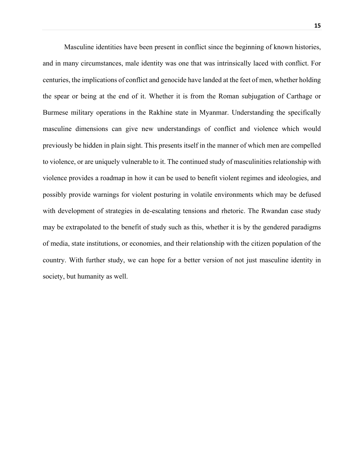Masculine identities have been present in conflict since the beginning of known histories, and in many circumstances, male identity was one that was intrinsically laced with conflict. For centuries, the implications of conflict and genocide have landed at the feet of men, whether holding the spear or being at the end of it. Whether it is from the Roman subjugation of Carthage or Burmese military operations in the Rakhine state in Myanmar. Understanding the specifically masculine dimensions can give new understandings of conflict and violence which would previously be hidden in plain sight. This presents itself in the manner of which men are compelled to violence, or are uniquely vulnerable to it. The continued study of masculinities relationship with violence provides a roadmap in how it can be used to benefit violent regimes and ideologies, and possibly provide warnings for violent posturing in volatile environments which may be defused with development of strategies in de-escalating tensions and rhetoric. The Rwandan case study may be extrapolated to the benefit of study such as this, whether it is by the gendered paradigms of media, state institutions, or economies, and their relationship with the citizen population of the country. With further study, we can hope for a better version of not just masculine identity in society, but humanity as well.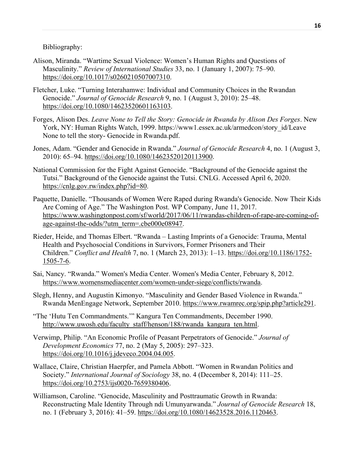Bibliography:

- Alison, Miranda. "Wartime Sexual Violence: Women's Human Rights and Questions of Masculinity." *Review of International Studies* 33, no. 1 (January 1, 2007): 75–90. [https://doi.org/10.1017/s0260210507007310.](https://doi.org/10.1017/s0260210507007310)
- Fletcher, Luke. "Turning Interahamwe: Individual and Community Choices in the Rwandan Genocide." *Journal of Genocide Research* 9, no. 1 (August 3, 2010): 25–48. [https://doi.org/10.1080/14623520601163103.](https://doi.org/10.1080/14623520601163103)
- Forges, Alison Des. *Leave None to Tell the Story: Genocide in Rwanda by Alison Des Forges*. New York, NY: Human Rights Watch, 1999. https://www1.essex.ac.uk/armedcon/story\_id/Leave None to tell the story- Genocide in Rwanda.pdf.
- Jones, Adam. "Gender and Genocide in Rwanda." *Journal of Genocide Research* 4, no. 1 (August 3, 2010): 65–94. [https://doi.org/10.1080/14623520120113900.](https://doi.org/10.1080/14623520120113900)
- National Commission for the Fight Against Genocide. "Background of the Genocide against the Tutsi." Background of the Genocide against the Tutsi. CNLG. Accessed April 6, 2020. [https://cnlg.gov.rw/index.php?id=80.](https://cnlg.gov.rw/index.php?id=80)
- Paquette, Danielle. "Thousands of Women Were Raped during Rwanda's Genocide. Now Their Kids Are Coming of Age." The Washington Post. WP Company, June 11, 2017. [https://www.washingtonpost.com/sf/world/2017/06/11/rwandas-children-of-rape-are-coming-of](https://www.washingtonpost.com/sf/world/2017/06/11/rwandas-children-of-rape-are-coming-of-age-against-the-odds/?utm_term=.cbe000e08947)[age-against-the-odds/?utm\\_term=.cbe000e08947.](https://www.washingtonpost.com/sf/world/2017/06/11/rwandas-children-of-rape-are-coming-of-age-against-the-odds/?utm_term=.cbe000e08947)
- Rieder, Heide, and Thomas Elbert. "Rwanda Lasting Imprints of a Genocide: Trauma, Mental Health and Psychosocial Conditions in Survivors, Former Prisoners and Their Children." *Conflict and Health* 7, no. 1 (March 23, 2013): 1–13. [https://doi.org/10.1186/1752-](https://doi.org/10.1186/1752-1505-7-6) [1505-7-6.](https://doi.org/10.1186/1752-1505-7-6)
- Sai, Nancy. "Rwanda." Women's Media Center. Women's Media Center, February 8, 2012. [https://www.womensmediacenter.com/women-under-siege/conflicts/rwanda.](https://www.womensmediacenter.com/women-under-siege/conflicts/rwanda)
- Slegh, Henny, and Augustin Kimonyo. "Masculinity and Gender Based Violence in Rwanda." Rwanda MenEngage Network, September 2010. [https://www.rwamrec.org/spip.php?article291.](https://www.rwamrec.org/spip.php?article291)
- "The 'Hutu Ten Commandments.'" Kangura Ten Commandments, December 1990. [http://www.uwosh.edu/faculty\\_staff/henson/188/rwanda\\_kangura\\_ten.html.](http://www.uwosh.edu/faculty_staff/henson/188/rwanda_kangura_ten.html)
- Verwimp, Philip. "An Economic Profile of Peasant Perpetrators of Genocide." *Journal of Development Economics* 77, no. 2 (May 5, 2005): 297–323. [https://doi.org/10.1016/j.jdeveco.2004.04.005.](https://doi.org/10.1016/j.jdeveco.2004.04.005)
- Wallace, Claire, Christian Haerpfer, and Pamela Abbott. "Women in Rwandan Politics and Society." *International Journal of Sociology* 38, no. 4 (December 8, 2014): 111–25. [https://doi.org/10.2753/ijs0020-7659380406.](https://doi.org/10.2753/ijs0020-7659380406)
- Williamson, Caroline. "Genocide, Masculinity and Posttraumatic Growth in Rwanda: Reconstructing Male Identity Through ndi Umunyarwanda." *Journal of Genocide Research* 18, no. 1 (February 3, 2016): 41–59. [https://doi.org/10.1080/14623528.2016.1120463.](https://doi.org/10.1080/14623528.2016.1120463)